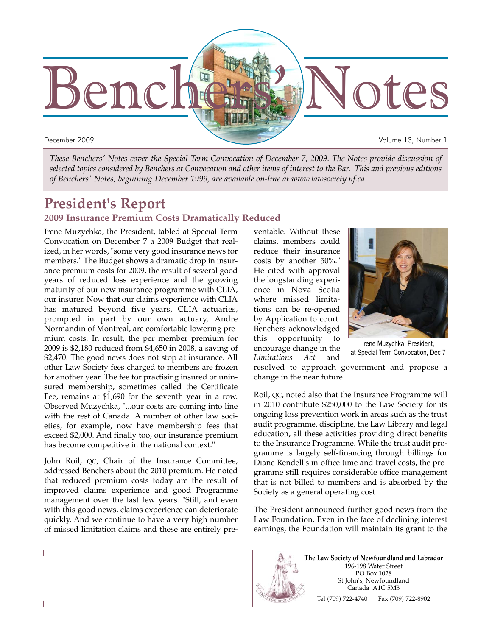

*These Benchers' Notes cover the Special Term Convocation of December 7, 2009. The Notes provide discussion of selected topics considered by Benchers at Convocation and other items of interest to the Bar. This and previous editions of Benchers' Notes, beginning December 1999, are available on-line at www.lawsociety.nf.ca*

# **President's Report**

### **2009 Insurance Premium Costs Dramatically Reduced**

Irene Muzychka, the President, tabled at Special Term Convocation on December 7 a 2009 Budget that realized, in her words, "some very good insurance news for members." The Budget shows a dramatic drop in insurance premium costs for 2009, the result of several good years of reduced loss experience and the growing maturity of our new insurance programme with CLIA, our insurer. Now that our claims experience with CLIA has matured beyond five years, CLIA actuaries, prompted in part by our own actuary, Andre Normandin of Montreal, are comfortable lowering premium costs. In result, the per member premium for 2009 is \$2,180 reduced from \$4,650 in 2008, a saving of \$2,470. The good news does not stop at insurance. All other Law Society fees charged to members are frozen for another year. The fee for practising insured or uninsured membership, sometimes called the Certificate Fee, remains at \$1,690 for the seventh year in a row. Observed Muzychka, "...our costs are coming into line with the rest of Canada. A number of other law societies, for example, now have membership fees that exceed \$2,000. And finally too, our insurance premium has become competitive in the national context."

John Roil, QC, Chair of the Insurance Committee, addressed Benchers about the 2010 premium. He noted that reduced premium costs today are the result of improved claims experience and good Programme management over the last few years. "Still, and even with this good news, claims experience can deteriorate quickly. And we continue to have a very high number of missed limitation claims and these are entirely preventable. Without these claims, members could reduce their insurance costs by another 50%." He cited with approval the longstanding experience in Nova Scotia where missed limitations can be re-opened by Application to court. Benchers acknowledged this opportunity to encourage change in the *Limitations Act* and



Irene Muzychka, President, at Special Term Convocation, Dec 7

resolved to approach government and propose a change in the near future.

Roil, QC, noted also that the Insurance Programme will in 2010 contribute \$250,000 to the Law Society for its ongoing loss prevention work in areas such as the trust audit programme, discipline, the Law Library and legal education, all these activities providing direct benefits to the Insurance Programme. While the trust audit programme is largely self-financing through billings for Diane Rendell's in-office time and travel costs, the programme still requires considerable office management that is not billed to members and is absorbed by the Society as a general operating cost.

The President announced further good news from the Law Foundation. Even in the face of declining interest earnings, the Foundation will maintain its grant to the

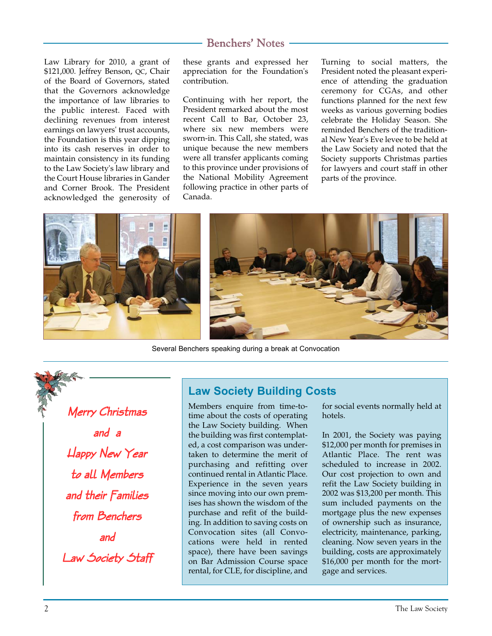Law Library for 2010, a grant of \$121,000. Jeffrey Benson, QC, Chair of the Board of Governors, stated that the Governors acknowledge the importance of law libraries to the public interest. Faced with declining revenues from interest earnings on lawyers' trust accounts, the Foundation is this year dipping into its cash reserves in order to maintain consistency in its funding to the Law Society's law library and the Court House libraries in Gander and Corner Brook. The President acknowledged the generosity of

these grants and expressed her appreciation for the Foundation's contribution.

Continuing with her report, the President remarked about the most recent Call to Bar, October 23, where six new members were sworn-in. This Call, she stated, was unique because the new members were all transfer applicants coming to this province under provisions of the National Mobility Agreement following practice in other parts of Canada.

Turning to social matters, the President noted the pleasant experience of attending the graduation ceremony for CGAs, and other functions planned for the next few weeks as various governing bodies celebrate the Holiday Season. She reminded Benchers of the traditional New Year's Eve levee to be held at the Law Society and noted that the Society supports Christmas parties for lawyers and court staff in other parts of the province.



Several Benchers speaking during a break at Convocation

Merry Christmas and a Happy New Year to all Members and their Families from Benchers and Law Society Staff

# **Law Society Building Costs**

Members enquire from time-totime about the costs of operating the Law Society building. When the building was first contemplated, a cost comparison was undertaken to determine the merit of purchasing and refitting over continued rental in Atlantic Place. Experience in the seven years since moving into our own premises has shown the wisdom of the purchase and refit of the building. In addition to saving costs on Convocation sites (all Convocations were held in rented space), there have been savings on Bar Admission Course space rental, for CLE, for discipline, and

for social events normally held at hotels.

In 2001, the Society was paying \$12,000 per month for premises in Atlantic Place. The rent was scheduled to increase in 2002. Our cost projection to own and refit the Law Society building in 2002 was \$13,200 per month. This sum included payments on the mortgage plus the new expenses of ownership such as insurance, electricity, maintenance, parking, cleaning. Now seven years in the building, costs are approximately \$16,000 per month for the mortgage and services.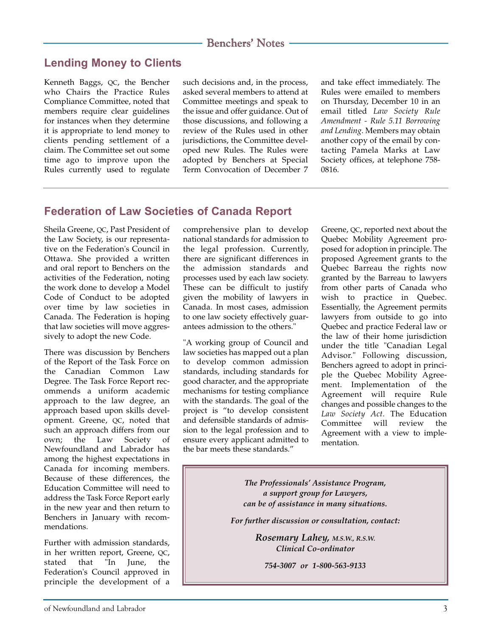# **Lending Money to Clients**

Kenneth Baggs, QC, the Bencher who Chairs the Practice Rules Compliance Committee, noted that members require clear guidelines for instances when they determine it is appropriate to lend money to clients pending settlement of a claim. The Committee set out some time ago to improve upon the Rules currently used to regulate

such decisions and, in the process, asked several members to attend at Committee meetings and speak to the issue and offer guidance. Out of those discussions, and following a review of the Rules used in other jurisdictions, the Committee developed new Rules. The Rules were adopted by Benchers at Special Term Convocation of December 7

and take effect immediately. The Rules were emailed to members on Thursday, December 10 in an email titled *Law Society Rule Amendment - Rule 5.11 Borrowing and Lending*. Members may obtain another copy of the email by contacting Pamela Marks at Law Society offices, at telephone 758- 0816.

## **Federation of Law Societies of Canada Report**

Sheila Greene, QC, Past President of the Law Society, is our representative on the Federation's Council in Ottawa. She provided a written and oral report to Benchers on the activities of the Federation, noting the work done to develop a Model Code of Conduct to be adopted over time by law societies in Canada. The Federation is hoping that law societies will move aggressively to adopt the new Code.

There was discussion by Benchers of the Report of the Task Force on the Canadian Common Law Degree. The Task Force Report recommends a uniform academic approach to the law degree, an approach based upon skills development. Greene, QC, noted that such an approach differs from our own; the Law Society of Newfoundland and Labrador has among the highest expectations in Canada for incoming members. Because of these differences, the Education Committee will need to address the Task Force Report early in the new year and then return to Benchers in January with recommendations.

Further with admission standards, in her written report, Greene, QC, stated that "In June, the Federation's Council approved in principle the development of a

comprehensive plan to develop national standards for admission to the legal profession. Currently, there are significant differences in the admission standards and processes used by each law society. These can be difficult to justify given the mobility of lawyers in Canada. In most cases, admission to one law society effectively guarantees admission to the others."

"A working group of Council and law societies has mapped out a plan to develop common admission standards, including standards for good character, and the appropriate mechanisms for testing compliance with the standards. The goal of the project is "to develop consistent and defensible standards of admission to the legal profession and to ensure every applicant admitted to the bar meets these standards."

Greene, QC, reported next about the Quebec Mobility Agreement proposed for adoption in principle. The proposed Agreement grants to the Quebec Barreau the rights now granted by the Barreau to lawyers from other parts of Canada who wish to practice in Quebec. Essentially, the Agreement permits lawyers from outside to go into Quebec and practice Federal law or the law of their home jurisdiction under the title "Canadian Legal Advisor." Following discussion, Benchers agreed to adopt in principle the Quebec Mobility Agreement. Implementation of the Agreement will require Rule changes and possible changes to the *Law Society Act*. The Education Committee will review the Agreement with a view to implementation.

*The Professionals' Assistance Program, a support group for Lawyers, can be of assistance in many situations.*

*For further discussion or consultation, contact:*

*Rosemary Lahey, M.S.W., R.S.W. Clinical Co-ordinator*

*754-3007 or 1-800-563-9133*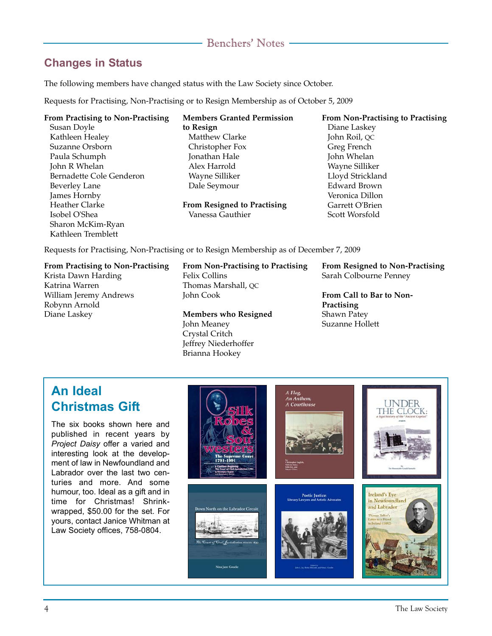# **Changes in Status**

The following members have changed status with the Law Society since October.

Requests for Practising, Non-Practising or to Resign Membership as of October 5, 2009

#### **From Practising to Non-Practising**

Susan Doyle Kathleen Healey Suzanne Orsborn Paula Schumph John R Whelan Bernadette Cole Genderon Beverley Lane James Hornby Heather Clarke Isobel O'Shea Sharon McKim-Ryan Kathleen Tremblett

**Members Granted Permission to Resign** Matthew Clarke Christopher Fox Jonathan Hale Alex Harrold Wayne Silliker Dale Seymour **From Resigned to Practising**

**From Non-Practising to Practising** Diane Laskey John Roil, QC Greg French John Whelan Wayne Silliker Lloyd Strickland Edward Brown Veronica Dillon Garrett O'Brien Scott Worsfold

Requests for Practising, Non-Practising or to Resign Membership as of December 7, 2009

Vanessa Gauthier

#### **From Practising to Non-Practising**

Krista Dawn Harding Katrina Warren William Jeremy Andrews Robynn Arnold Diane Laskey

#### **From Non-Practising to Practising** Felix Collins Thomas Marshall, QC John Cook

**Members who Resigned** John Meaney Crystal Critch Jeffrey Niederhoffer Brianna Hookey

**From Resigned to Non-Practising** Sarah Colbourne Penney

**From Call to Bar to Non-Practising** Shawn Patey Suzanne Hollett

# **An Ideal Christmas Gift**

The six books shown here and published in recent years by *Project Daisy* offer a varied and interesting look at the development of law in Newfoundland and Labrador over the last two centuries and more. And some humour, too. Ideal as a gift and in time for Christmas! Shrinkwrapped, \$50.00 for the set. For yours, contact Janice Whitman at Law Society offices, 758-0804.

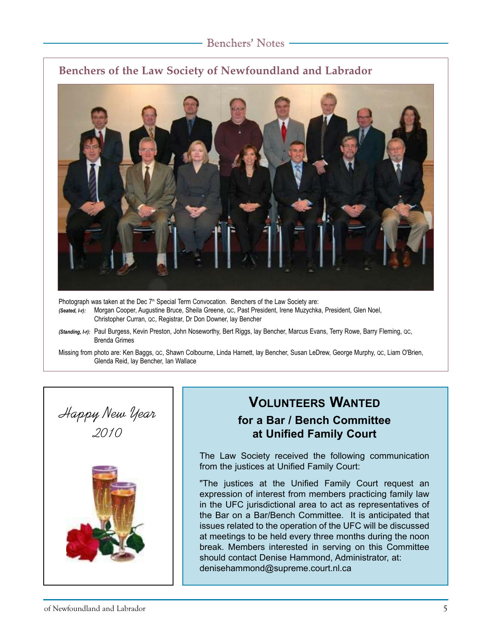# **Benchers of the Law Society of Newfoundland and Labrador**



Photograph was taken at the Dec 7<sup>th</sup> Special Term Convocation. Benchers of the Law Society are:

- *(Seated, l-r):* Morgan Cooper, Augustine Bruce, Sheila Greene, QC, Past President, Irene Muzychka, President, Glen Noel, Christopher Curran, QC, Registrar, Dr Don Downer, lay Bencher
- *(Standing, l-r):* Paul Burgess, Kevin Preston, John Noseworthy, Bert Riggs, lay Bencher, Marcus Evans, Terry Rowe, Barry Fleming, QC, Brenda Grimes
- Missing from photo are: Ken Baggs, QC, Shawn Colbourne, Linda Harnett, lay Bencher, Susan LeDrew, George Murphy, QC, Liam O'Brien, Glenda Reid, lay Bencher, Ian Wallace





# **VOLUNTEERS WANTED for a Bar / Bench Committee at Unified Family Court**

The Law Society received the following communication from the justices at Unified Family Court:

"The justices at the Unified Family Court request an expression of interest from members practicing family law in the UFC jurisdictional area to act as representatives of the Bar on a Bar/Bench Committee. It is anticipated that issues related to the operation of the UFC will be discussed at meetings to be held every three months during the noon break. Members interested in serving on this Committee should contact Denise Hammond, Administrator, at: denisehammond@supreme.court.nl.ca